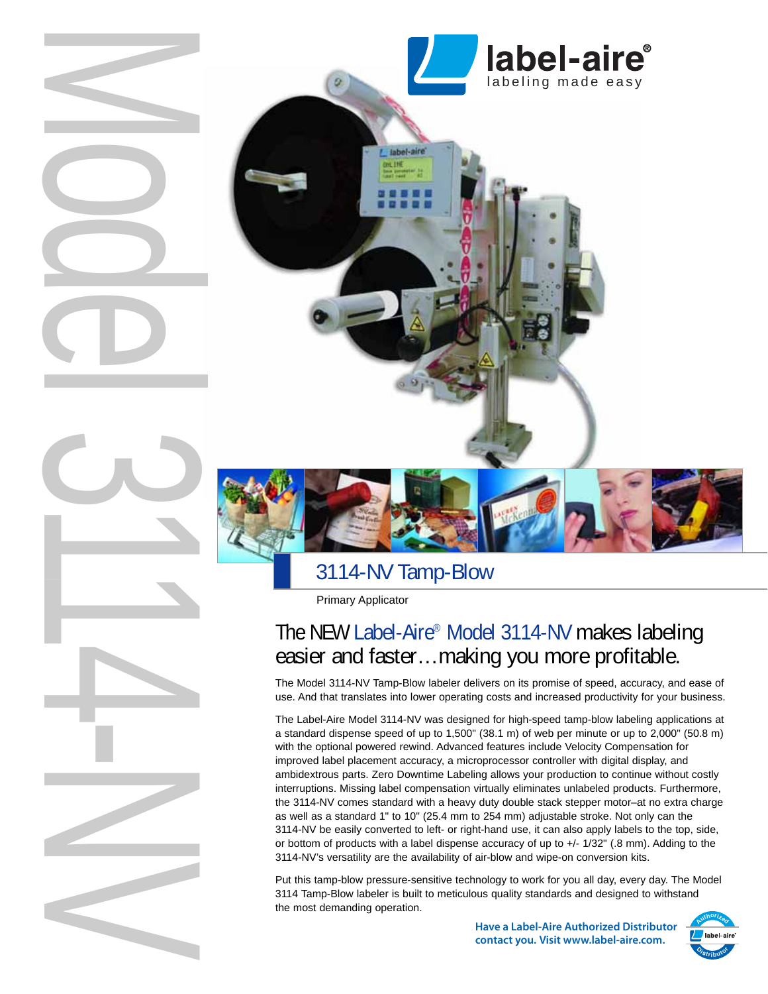

# 3114-NV Tamp-Blow

Primary Applicator

# The NEW Label-Aire® Model 3114-NV makes labeling easier and faster…making you more profitable.

The Model 3114-NV Tamp-Blow labeler delivers on its promise of speed, accuracy, and ease of use. And that translates into lower operating costs and increased productivity for your business.

The Label-Aire Model 3114-NV was designed for high-speed tamp-blow labeling applications at a standard dispense speed of up to 1,500" (38.1 m) of web per minute or up to 2,000" (50.8 m) with the optional powered rewind. Advanced features include Velocity Compensation for improved label placement accuracy, a microprocessor controller with digital display, and ambidextrous parts. Zero Downtime Labeling allows your production to continue without costly interruptions. Missing label compensation virtually eliminates unlabeled products. Furthermore, the 3114-NV comes standard with a heavy duty double stack stepper motor–at no extra charge as well as a standard 1" to 10" (25.4 mm to 254 mm) adjustable stroke. Not only can the 3114-NV be easily converted to left- or right-hand use, it can also apply labels to the top, side, or bottom of products with a label dispense accuracy of up to +/- 1/32" (.8 mm). Adding to the 3114-NV's versatility are the availability of air-blow and wipe-on conversion kits.

Put this tamp-blow pressure-sensitive technology to work for you all day, every day. The Model 3114 Tamp-Blow labeler is built to meticulous quality standards and designed to withstand the most demanding operation.

> **Have a Label-Aire Authorized Distributor contact you. Visit www.label-aire.com.**